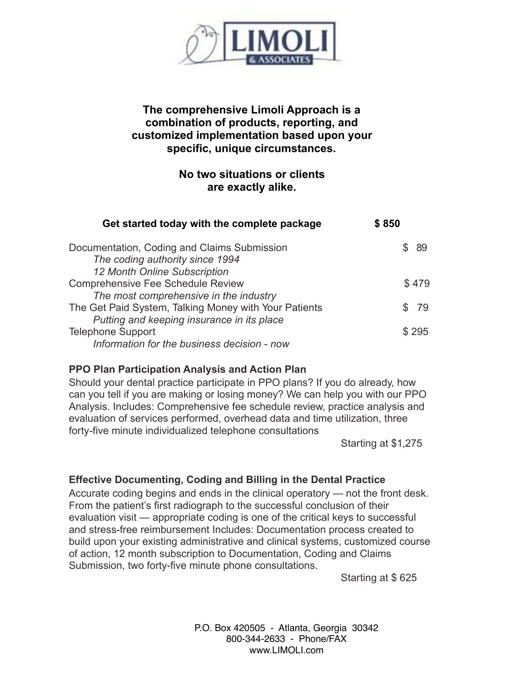

## **The comprehensive Limoli Approach is a combination of products, reporting, and customized implementation based upon your specific, unique circumstances.**

## **No two situations or clients are exactly alike.**

| Get started today with the complete package                                    | \$850 |  |  |
|--------------------------------------------------------------------------------|-------|--|--|
| Documentation, Coding and Claims Submission<br>The coding authority since 1994 | -89   |  |  |
| 12 Month Online Subscription                                                   |       |  |  |
| <b>Comprehensive Fee Schedule Review</b>                                       | \$479 |  |  |
| The most comprehensive in the industry                                         |       |  |  |
| The Get Paid System, Talking Money with Your Patients                          | - 79  |  |  |
| Putting and keeping insurance in its place                                     |       |  |  |
| <b>Telephone Support</b>                                                       | \$295 |  |  |
| Information for the business decision - now                                    |       |  |  |

## **PPO Plan Participation Analysis and Action Plan**

Should your dental practice participate in PPO plans? If you do already, how can you tell if you are making or losing money? We can help you with our PPO Analysis. Includes: Comprehensive fee schedule review, practice analysis and evaluation of services performed, overhead data and time utilization, three forty-five minute individualized telephone consultations

Starting at \$1,275

## **Effective Documenting, Coding and Billing in the Dental Practice**

Accurate coding begins and ends in the clinical operatory — not the front desk. From the patient's first radiograph to the successful conclusion of their evaluation visit — appropriate coding is one of the critical keys to successful and stress-free reimbursement Includes: Documentation process created to build upon your existing administrative and clinical systems, customized course of action, 12 month subscription to Documentation, Coding and Claims Submission, two forty-five minute phone consultations.

Starting at \$ 625

P.O. Box 420505 - Atlanta, Georgia 30342 800-344-2633 - Phone/FAX www.LIMOLI.com